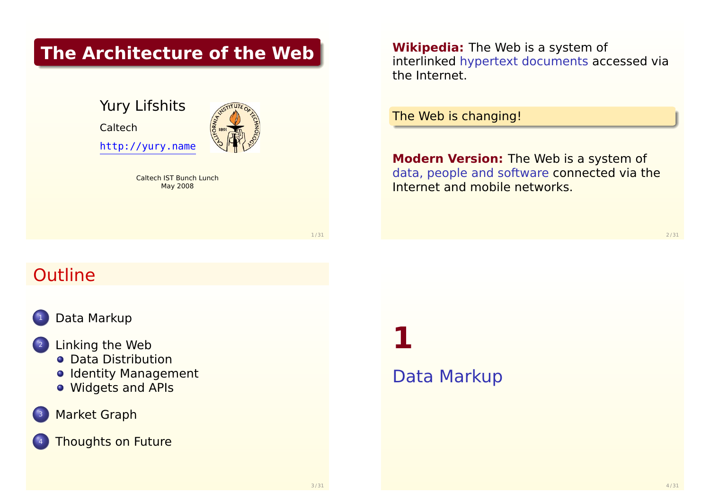#### **The Architecture of the Web**

Yury Lifshits Caltech http://yury.name

> Caltech IST Bunch Lunch May 2008

**Wikipedia:** The Web is a system of interlinked hypertext documents accessed via the Internet.

The Web is changing!

**Modern Version:** The Web is a system of data, people and software connected via the Internet and mobile networks.

1 / 31

# **Outline**



#### [Data Mar](#page-0-0)kup

#### Linking the Web

- **[Data Distr](#page-2-0)ibution**
- o [Identity Mana](#page-3-0)gement
- [Widgets and APIs](#page-3-0)

#### **[Ma](#page-5-0)[rket Graph](http://yury.name)**

#### **[Thoughts on Fut](#page-6-0)ure**

# **1**

#### <span id="page-0-0"></span>Data Markup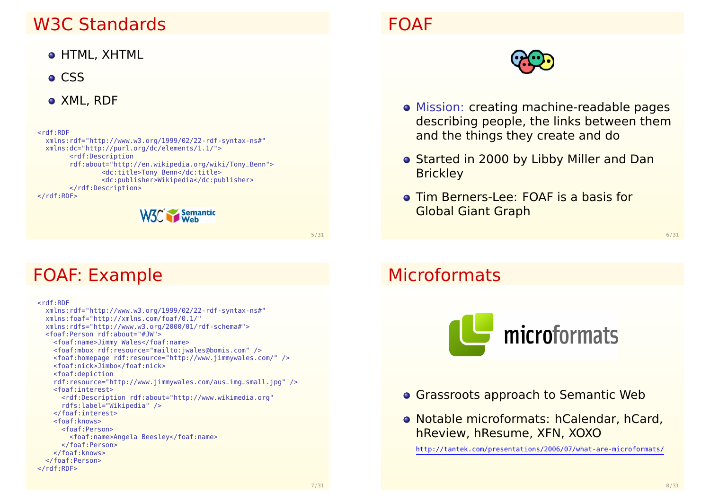#### W3C Standards

- HTML, XHTML
- **o** CSS
- XML, RDF

<rdf:RDF xmlns:rdf="http://www.w3.org/1999/02/22-rdf-syntax-ns#" xmlns:dc="http://purl.org/dc/elements/1.1/"> <rdf:Description rdf:about="http://en.wikipedia.org/wiki/Tony\_Benn"> <dc:title>Tony Benn</dc:title> <dc:publisher>Wikipedia</dc:publisher> </rdf:Description>  $\lt$ / $rdf$ :RDF $>$ 



5 / 31

#### FOAF: Example

<rdf:RDF xmlns:rdf="http://www.w3.org/1999/02/22-rdf-syntax-ns#" xmlns:foaf="http://xmlns.com/foaf/0.1/" xmlns:rdfs="http://www.w3.org/2000/01/rdf-schema#"> <foaf:Person rdf:about="#JW"> <foaf:name>Jimmy Wales</foaf:name> <foaf:mbox rdf:resource="mailto:jwales@bomis.com" /> <foaf:homepage rdf:resource="http://www.jimmywales.com/" /> <foaf:nick>Jimbo</foaf:nick> <foaf:depiction rdf:resource="http://www.jimmywales.com/aus\_img\_small.jpg" /> <foaf:interest> <rdf:Description rdf:about="http://www.wikimedia.org" rdfs:label="Wikipedia" /> </foaf:interest> <foaf:knows> <foaf:Person> <foaf:name>Angela Beesley</foaf:name> </foaf:Person> </foaf:knows> [</foaf:Person>](http://tantek.com/presentations/2006/07/what-are-microformats/)  $\lt$ / $rdf:RDF$ 

#### FOAF



- Mission: creating machine-readable pages describing people, the links between them and the things they create and do
- o Started in 2000 by Libby Miller and Dan **Brickley**
- **Tim Berners-Lee: FOAF is a basis for** Global Giant Graph

6 / 31

#### **Microformats**



- **Grassroots approach to Semantic Web**
- Notable microformats: hCalendar, hCard, hReview, hResume, XFN, XOXO

http://tantek.com/presentations/2006/07/what-are-microformats/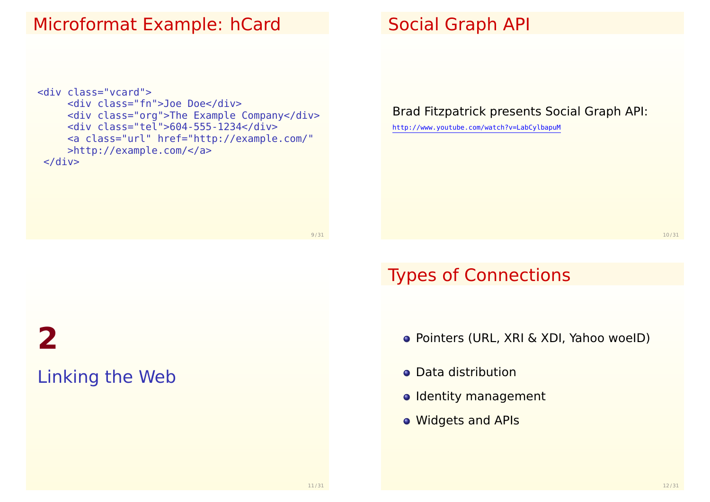#### Microformat Example: hCard

```
<div class="vcard">
     <div class="fn">Joe Doe</div>
     <div class="org">The Example Company</div>
     <div class="tel">604-555-1234</div>
     <a class="url" href="http://example.com/"
    >http://example.com/</a>
\langlediv>
```
#### Social Graph API

Brad Fitzpatrick presents Social Graph API:

http://www.youtube.com/watch?v=LabCylbapuM

10 / 31

#### Types of Connections

- Pointers (URL, XRI & XDI, Yahoo woeID)
- **Data distribution**
- o Identity management
- <span id="page-2-0"></span>Widgets and APIs

# **2** [Linking the Web](http://www.youtube.com/watch?v=LabCylbapuM)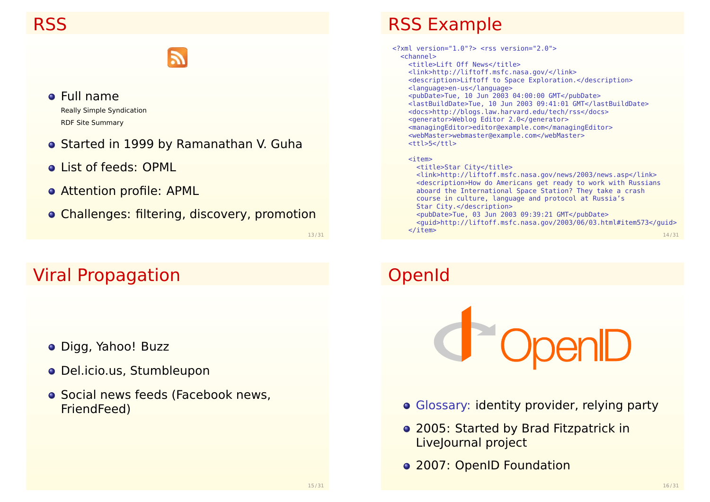#### Full name Really Simple Syndication RDF Site Summary

- **o** Started in 1999 by Ramanathan V. Guha
- **.** List of feeds: OPML
- Attention profile: APML
- Challenges: filtering, discovery, promotion

13 / 31

#### Viral Propagation

- Digg, Yahoo! Buzz
- Del.icio.us, Stumbleupon
- **o** Social news feeds (Facebook news, FriendFeed)

#### RSS Example

| xml version="1.0"? <rss version="2.0"></rss>                                |       |
|-----------------------------------------------------------------------------|-------|
| $<$ channel $>$                                                             |       |
| <title>Lift Off News</title>                                                |       |
| <link/> http://liftoff.msfc.nasa.gov/                                       |       |
| <description>Liftoff to Space Exploration.</description>                    |       |
| <language>en-us</language>                                                  |       |
| <pubdate>Tue, 10 Jun 2003 04:00:00 GMT</pubdate>                            |       |
| <lastbuilddate>Tue, 10 Jun 2003 09:41:01 GMT</lastbuilddate>                |       |
| <docs>http://blogs.law.harvard.edu/tech/rss</docs>                          |       |
| <generator>Weblog Editor 2.0</generator>                                    |       |
| <managingeditor>editor@example.com</managingeditor>                         |       |
| <webmaster>webmaster@example.com</webmaster>                                |       |
| <ttl>5</ttl>                                                                |       |
|                                                                             |       |
| $<$ item $>$                                                                |       |
| <title>Star City</title>                                                    |       |
| <link/> http://liftoff.msfc.nasa.gov/news/2003/news.asp                     |       |
| <description>How do Americans get ready to work with Russians</description> |       |
| aboard the International Space Station? They take a crash                   |       |
| course in culture, language and protocol at Russia's                        |       |
| Star City.                                                                  |       |
| <pubdate>Tue, 03 Jun 2003 09:39:21 GMT</pubdate>                            |       |
| <guid>http://liftoff.msfc.nasa.gov/2003/06/03.html#item573</guid>           |       |
| $\texttt{~}/\texttt{item}$                                                  |       |
|                                                                             | 14/31 |

# OpenId



- Glossary: identity provider, relying party
- 2005: Started by Brad Fitzpatrick in LiveJournal project
- <span id="page-3-0"></span>• 2007: OpenID Foundation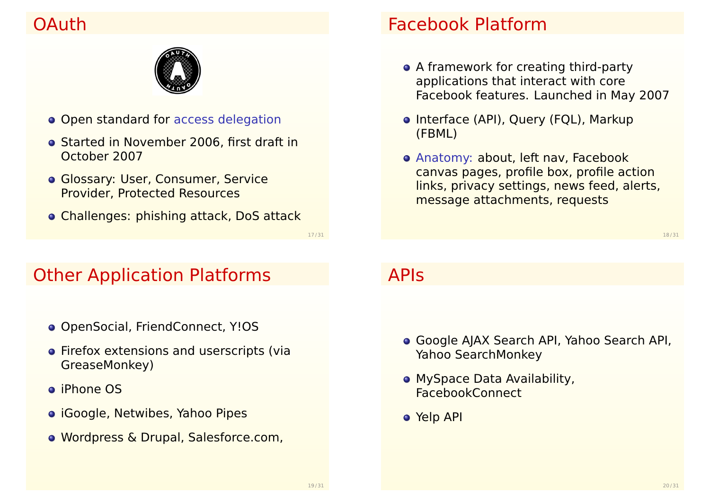## OAuth



- **Open standard for access delegation**
- **Started in November 2006, first draft in** October 2007
- **Glossary: User, Consumer, Service** Provider, Protected Resources
- Challenges: phishing attack, DoS attack

#### Facebook Platform

- A framework for creating third-party applications that interact with core Facebook features. Launched in May 2007
- Interface (API), Query (FQL), Markup (FBML)
- Anatomy: about, left nav, Facebook canvas pages, profile box, profile action links, privacy settings, news feed, alerts, message attachments, requests

18 / 31

## Other Application Platforms

- OpenSocial, FriendConnect, Y!OS
- **•** Firefox extensions and userscripts (via GreaseMonkey)
- iPhone OS
- **o** iGoogle, Netwibes, Yahoo Pipes
- Wordpress & Drupal, Salesforce.com,

#### APIs

- Google AJAX Search API, Yahoo Search API, Yahoo SearchMonkey
- **MySpace Data Availability,** FacebookConnect
- <span id="page-4-0"></span>Yelp API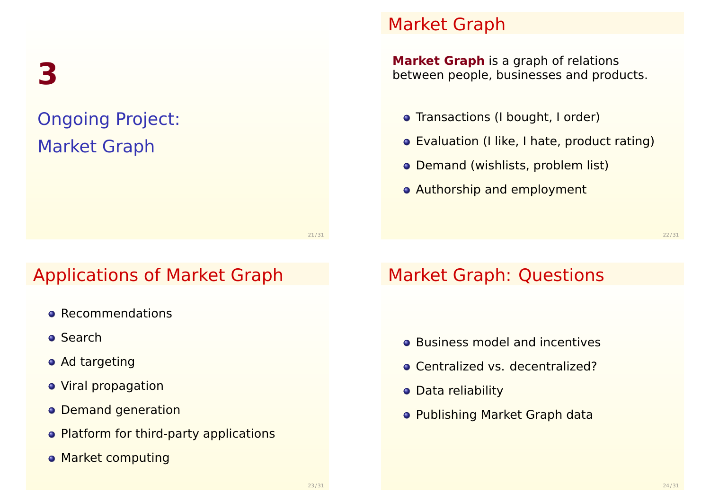**3**

# Ongoing Project: Market Graph

21 / 31

## Applications of Market Graph

- **e** Recommendations
- **o** Search
- Ad targeting
- **•** Viral propagation
- **o** Demand generation
- Platform for third-party applications
- **Market computing**

#### Market Graph

**Market Graph** is a graph of relations between people, businesses and products.

- Transactions (I bought, I order)
- Evaluation (I like, I hate, product rating)
- Demand (wishlists, problem list)
- **Authorship and employment**

#### Market Graph: Questions

- **•** Business model and incentives
- Centralized vs. decentralized?
- **o** Data reliability
- <span id="page-5-0"></span>Publishing Market Graph data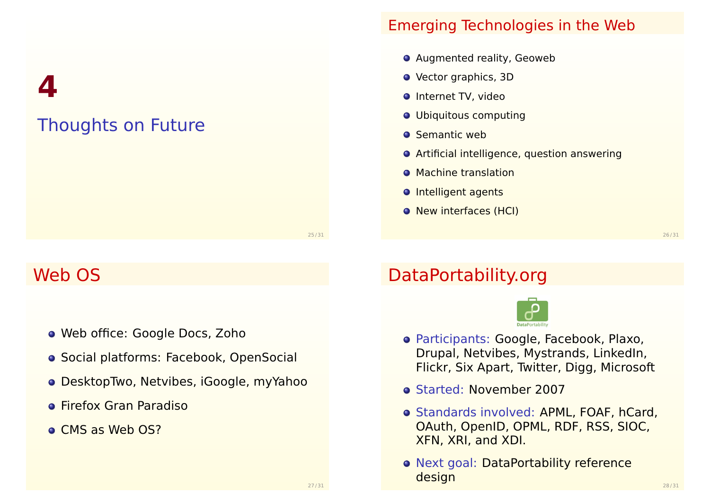**4**

# Thoughts on Future

#### Emerging Technologies in the Web

- **O** Augmented reality, Geoweb
- **•** Vector graphics, 3D
- **O** Internet TV, video
- Ubiquitous computing
- **O** Semantic web
- **O** Artificial intelligence, question answering
- **Machine translation**
- **O** Intelligent agents
- **O** New interfaces (HCI)

26 / 31

#### Web OS

- Web office: Google Docs, Zoho
- **Social platforms: Facebook, OpenSocial**
- DesktopTwo, Netvibes, iGoogle, myYahoo
- **•** Firefox Gran Paradiso
- **CMS as Web OS?**

# DataPortability.org



- Participants: Google, Facebook, Plaxo, Drupal, Netvibes, Mystrands, LinkedIn, Flickr, Six Apart, Twitter, Digg, Microsoft
- Started: November 2007
- **Standards involved: APML, FOAF, hCard,** OAuth, OpenID, OPML, RDF, RSS, SIOC, XFN, XRI, and XDI.
- <span id="page-6-0"></span>o Next goal: DataPortability reference design